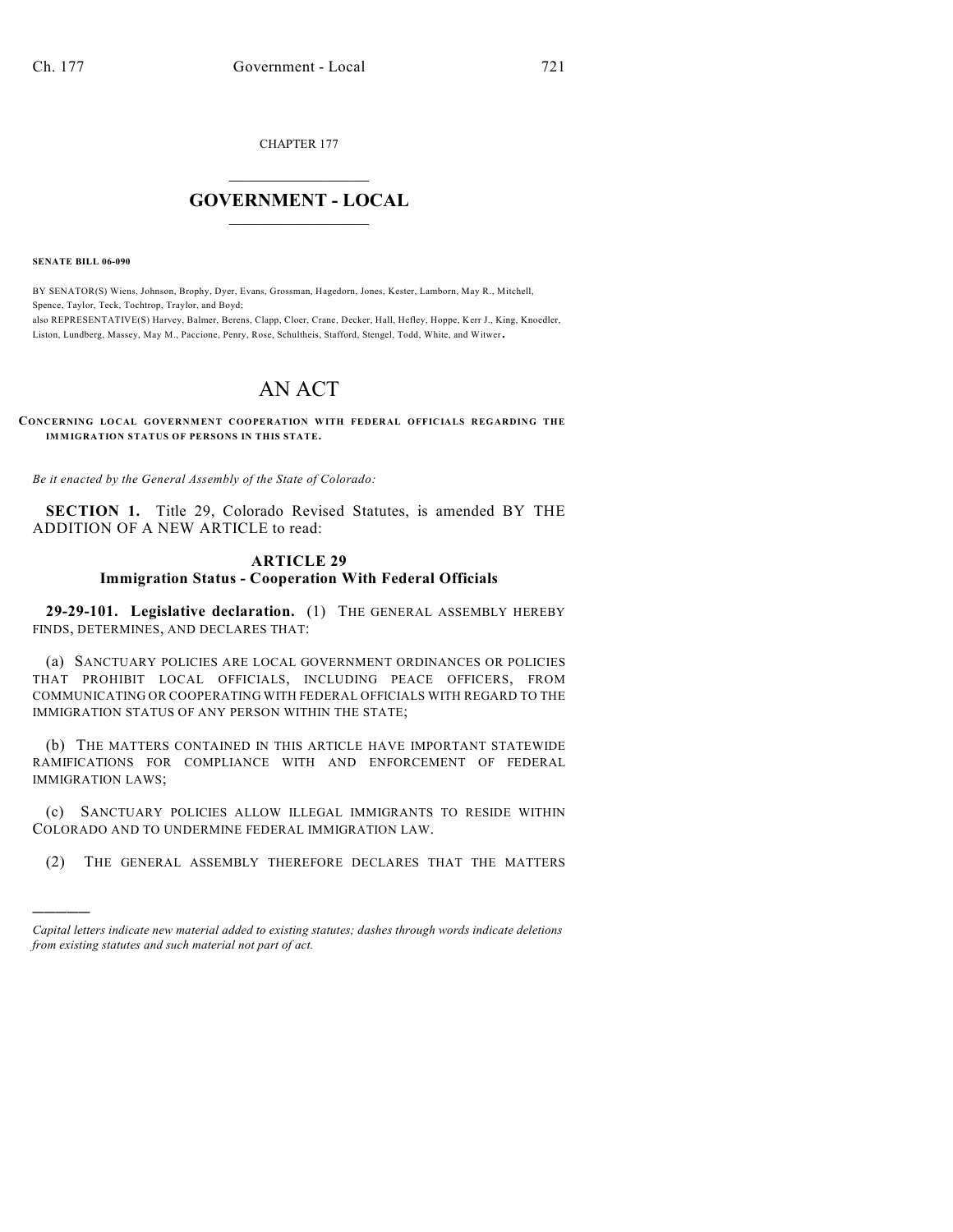CHAPTER 177

## $\overline{\phantom{a}}$  . The set of the set of the set of the set of the set of the set of the set of the set of the set of the set of the set of the set of the set of the set of the set of the set of the set of the set of the set o **GOVERNMENT - LOCAL**  $\_$

**SENATE BILL 06-090**

)))))

BY SENATOR(S) Wiens, Johnson, Brophy, Dyer, Evans, Grossman, Hagedorn, Jones, Kester, Lamborn, May R., Mitchell, Spence, Taylor, Teck, Tochtrop, Traylor, and Boyd; also REPRESENTATIVE(S) Harvey, Balmer, Berens, Clapp, Cloer, Crane, Decker, Hall, Hefley, Hoppe, Kerr J., King, Knoedler, Liston, Lundberg, Massey, May M., Paccione, Penry, Rose, Schultheis, Stafford, Stengel, Todd, White, and Witwer.

## AN ACT

**CONCERNING LOCAL GOVERNMENT COOPERATION WITH FEDERAL OFFICIALS REGARDING THE IMMIGRATION STATUS OF PERSONS IN THIS STATE.**

*Be it enacted by the General Assembly of the State of Colorado:*

**SECTION 1.** Title 29, Colorado Revised Statutes, is amended BY THE ADDITION OF A NEW ARTICLE to read:

## **ARTICLE 29 Immigration Status - Cooperation With Federal Officials**

**29-29-101. Legislative declaration.** (1) THE GENERAL ASSEMBLY HEREBY FINDS, DETERMINES, AND DECLARES THAT:

(a) SANCTUARY POLICIES ARE LOCAL GOVERNMENT ORDINANCES OR POLICIES THAT PROHIBIT LOCAL OFFICIALS, INCLUDING PEACE OFFICERS, FROM COMMUNICATING OR COOPERATING WITH FEDERAL OFFICIALS WITH REGARD TO THE IMMIGRATION STATUS OF ANY PERSON WITHIN THE STATE;

(b) THE MATTERS CONTAINED IN THIS ARTICLE HAVE IMPORTANT STATEWIDE RAMIFICATIONS FOR COMPLIANCE WITH AND ENFORCEMENT OF FEDERAL IMMIGRATION LAWS;

(c) SANCTUARY POLICIES ALLOW ILLEGAL IMMIGRANTS TO RESIDE WITHIN COLORADO AND TO UNDERMINE FEDERAL IMMIGRATION LAW.

(2) THE GENERAL ASSEMBLY THEREFORE DECLARES THAT THE MATTERS

*Capital letters indicate new material added to existing statutes; dashes through words indicate deletions from existing statutes and such material not part of act.*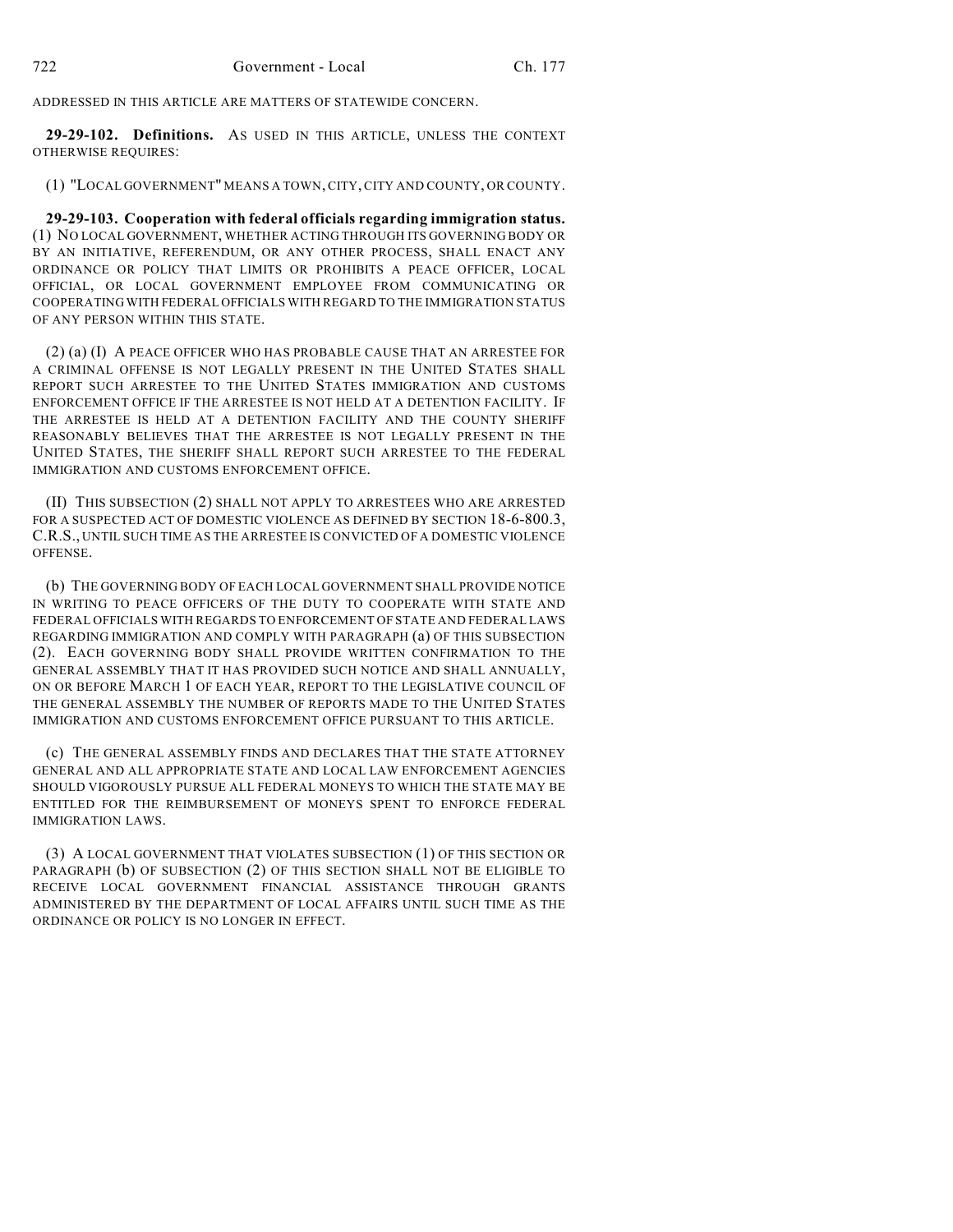ADDRESSED IN THIS ARTICLE ARE MATTERS OF STATEWIDE CONCERN.

**29-29-102. Definitions.** AS USED IN THIS ARTICLE, UNLESS THE CONTEXT OTHERWISE REQUIRES:

(1) "LOCAL GOVERNMENT" MEANS A TOWN, CITY, CITY AND COUNTY, OR COUNTY.

**29-29-103. Cooperation with federal officials regarding immigration status.** (1) NO LOCAL GOVERNMENT, WHETHER ACTING THROUGH ITS GOVERNING BODY OR BY AN INITIATIVE, REFERENDUM, OR ANY OTHER PROCESS, SHALL ENACT ANY ORDINANCE OR POLICY THAT LIMITS OR PROHIBITS A PEACE OFFICER, LOCAL OFFICIAL, OR LOCAL GOVERNMENT EMPLOYEE FROM COMMUNICATING OR COOPERATING WITH FEDERAL OFFICIALS WITH REGARD TO THE IMMIGRATION STATUS OF ANY PERSON WITHIN THIS STATE.

(2) (a) (I) A PEACE OFFICER WHO HAS PROBABLE CAUSE THAT AN ARRESTEE FOR A CRIMINAL OFFENSE IS NOT LEGALLY PRESENT IN THE UNITED STATES SHALL REPORT SUCH ARRESTEE TO THE UNITED STATES IMMIGRATION AND CUSTOMS ENFORCEMENT OFFICE IF THE ARRESTEE IS NOT HELD AT A DETENTION FACILITY. IF THE ARRESTEE IS HELD AT A DETENTION FACILITY AND THE COUNTY SHERIFF REASONABLY BELIEVES THAT THE ARRESTEE IS NOT LEGALLY PRESENT IN THE UNITED STATES, THE SHERIFF SHALL REPORT SUCH ARRESTEE TO THE FEDERAL IMMIGRATION AND CUSTOMS ENFORCEMENT OFFICE.

(II) THIS SUBSECTION (2) SHALL NOT APPLY TO ARRESTEES WHO ARE ARRESTED FOR A SUSPECTED ACT OF DOMESTIC VIOLENCE AS DEFINED BY SECTION 18-6-800.3, C.R.S., UNTIL SUCH TIME AS THE ARRESTEE IS CONVICTED OF A DOMESTIC VIOLENCE OFFENSE.

(b) THE GOVERNING BODY OF EACH LOCAL GOVERNMENT SHALL PROVIDE NOTICE IN WRITING TO PEACE OFFICERS OF THE DUTY TO COOPERATE WITH STATE AND FEDERAL OFFICIALS WITH REGARDS TO ENFORCEMENT OF STATE AND FEDERAL LAWS REGARDING IMMIGRATION AND COMPLY WITH PARAGRAPH (a) OF THIS SUBSECTION (2). EACH GOVERNING BODY SHALL PROVIDE WRITTEN CONFIRMATION TO THE GENERAL ASSEMBLY THAT IT HAS PROVIDED SUCH NOTICE AND SHALL ANNUALLY, ON OR BEFORE MARCH 1 OF EACH YEAR, REPORT TO THE LEGISLATIVE COUNCIL OF THE GENERAL ASSEMBLY THE NUMBER OF REPORTS MADE TO THE UNITED STATES IMMIGRATION AND CUSTOMS ENFORCEMENT OFFICE PURSUANT TO THIS ARTICLE.

(c) THE GENERAL ASSEMBLY FINDS AND DECLARES THAT THE STATE ATTORNEY GENERAL AND ALL APPROPRIATE STATE AND LOCAL LAW ENFORCEMENT AGENCIES SHOULD VIGOROUSLY PURSUE ALL FEDERAL MONEYS TO WHICH THE STATE MAY BE ENTITLED FOR THE REIMBURSEMENT OF MONEYS SPENT TO ENFORCE FEDERAL IMMIGRATION LAWS.

(3) A LOCAL GOVERNMENT THAT VIOLATES SUBSECTION (1) OF THIS SECTION OR PARAGRAPH (b) OF SUBSECTION (2) OF THIS SECTION SHALL NOT BE ELIGIBLE TO RECEIVE LOCAL GOVERNMENT FINANCIAL ASSISTANCE THROUGH GRANTS ADMINISTERED BY THE DEPARTMENT OF LOCAL AFFAIRS UNTIL SUCH TIME AS THE ORDINANCE OR POLICY IS NO LONGER IN EFFECT.